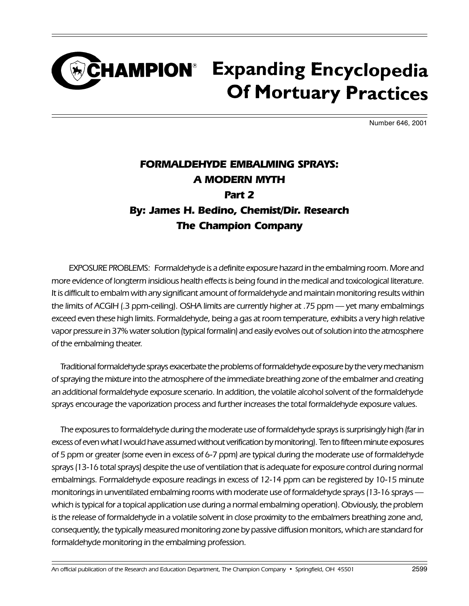### **CHAMPION**<sup>®</sup> Expanding Encyclopedia **Of Mortuary Practices**

Number 646, 2001

### FORMALDEHYDE EMBALMING SPRAYS: A MODERN MYTH Part 2 By: James H. Bedino, Chemist/Dir. Research The Champion Company

EXPOSURE PROBLEMS: Formaldehyde is a definite exposure hazard in the embalming room. More and more evidence of longterm insidious health effects is being found in the medical and toxicological literature. It is difficult to embalm with any significant amount of formaldehyde and maintain monitoring results within the limits of ACGIH (.3 ppm-ceiling). OSHA limits are currently higher at .75 ppm — yet many embalmings exceed even these high limits. Formaldehyde, being a gas at room temperature, exhibits a very high relative vapor pressure in 37% water solution (typical formalin) and easily evolves out of solution into the atmosphere of the embalming theater.

Traditional formaldehyde sprays exacerbate the problems of formaldehyde exposure by the very mechanism of spraying the mixture into the atmosphere of the immediate breathing zone of the embalmer and creating an additional formaldehyde exposure scenario. In addition, the volatile alcohol solvent of the formaldehyde sprays encourage the vaporization process and further increases the total formaldehyde exposure values.

The exposures to formaldehyde during the moderate use of formaldehyde sprays is surprisingly high (far in excess of even what I would have assumed without verification by monitoring). Ten to fifteen minute exposures of 5 ppm or greater (some even in excess of 6-7 ppm) are typical during the moderate use of formaldehyde sprays (13-16 total sprays) despite the use of ventilation that is adequate for exposure control during normal embalmings. Formaldehyde exposure readings in excess of 12-14 ppm can be registered by 10-15 minute monitorings in unventilated embalming rooms with moderate use of formaldehyde sprays (13-16 sprays which is typical for a topical application use during a normal embalming operation). Obviously, the problem is the release of formaldehyde in a volatile solvent in close proximity to the embalmers breathing zone and, consequently, the typically measured monitoring zone by passive diffusion monitors, which are standard for formaldehyde monitoring in the embalming profession.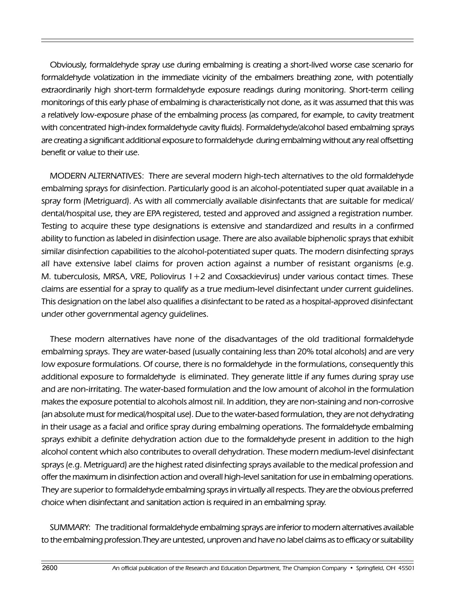Obviously, formaldehyde spray use during embalming is creating a short-lived worse case scenario for formaldehyde volatization in the immediate vicinity of the embalmers breathing zone, with potentially extraordinarily high short-term formaldehyde exposure readings during monitoring. Short-term ceiling monitorings of this early phase of embalming is characteristically not done, as it was assumed that this was a relatively low-exposure phase of the embalming process (as compared, for example, to cavity treatment with concentrated high-index formaldehyde cavity fluids). Formaldehyde/alcohol based embalming sprays are creating a significant additional exposure to formaldehyde during embalming without any real offsetting benefit or value to their use.

MODERN ALTERNATIVES: There are several modern high-tech alternatives to the old formaldehyde embalming sprays for disinfection. Particularly good is an alcohol-potentiated super quat available in a spray form (Metriguard). As with all commercially available disinfectants that are suitable for medical/ dental/hospital use, they are EPA registered, tested and approved and assigned a registration number. Testing to acquire these type designations is extensive and standardized and results in a confirmed ability to function as labeled in disinfection usage. There are also available biphenolic sprays that exhibit similar disinfection capabilities to the alcohol-potentiated super quats. The modern disinfecting sprays all have extensive label claims for proven action against a number of resistant organisms (e.g. M. tuberculosis, MRSA, VRE, Poliovirus 1+2 and Coxsackievirus) under various contact times. These claims are essential for a spray to qualify as a true medium-level disinfectant under current guidelines. This designation on the label also qualifies a disinfectant to be rated as a hospital-approved disinfectant under other governmental agency guidelines.

These modern alternatives have none of the disadvantages of the old traditional formaldehyde embalming sprays. They are water-based (usually containing less than 20% total alcohols) and are very low exposure formulations. Of course, there is no formaldehyde in the formulations, consequently this additional exposure to formaldehyde is eliminated. They generate little if any fumes during spray use and are non-irritating. The water-based formulation and the low amount of alcohol in the formulation makes the exposure potential to alcohols almost nil. In addition, they are non-staining and non-corrosive (an absolute must for medical/hospital use). Due to the water-based formulation, they are not dehydrating in their usage as a facial and orifice spray during embalming operations. The formaldehyde embalming sprays exhibit a definite dehydration action due to the formaldehyde present in addition to the high alcohol content which also contributes to overall dehydration. These modern medium-level disinfectant sprays (e.g. Metriguard) are the highest rated disinfecting sprays available to the medical profession and offer the maximum in disinfection action and overall high-level sanitation for use in embalming operations. They are superior to formaldehyde embalming sprays in virtually all respects. They are the obvious preferred choice when disinfectant and sanitation action is required in an embalming spray.

SUMMARY: The traditional formaldehyde embalming sprays are inferior to modern alternatives available to the embalming profession.They are untested, unproven and have no label claims as to efficacy or suitability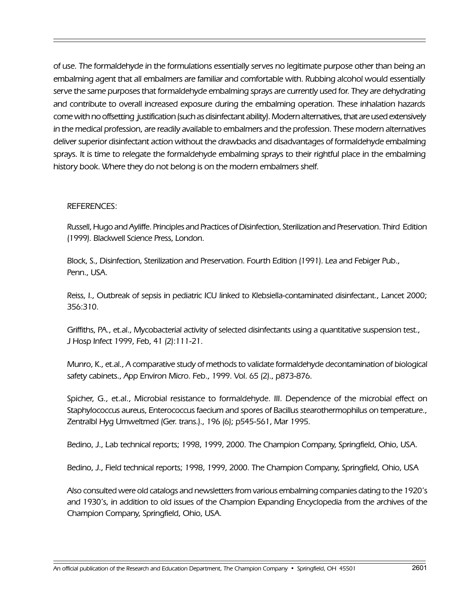of use. The formaldehyde in the formulations essentially serves no legitimate purpose other than being an embalming agent that all embalmers are familiar and comfortable with. Rubbing alcohol would essentially serve the same purposes that formaldehyde embalming sprays are currently used for. They are dehydrating and contribute to overall increased exposure during the embalming operation. These inhalation hazards come with no offsetting justification (such as disinfectant ability). Modern alternatives, that are used extensively in the medical profession, are readily available to embalmers and the profession. These modern alternatives deliver superior disinfectant action without the drawbacks and disadvantages of formaldehyde embalming sprays. It is time to relegate the formaldehyde embalming sprays to their rightful place in the embalming history book. Where they do not belong is on the modern embalmers shelf.

#### REFERENCES:

Russell, Hugo and Ayliffe. Principles and Practices of Disinfection, Sterilization and Preservation. Third Edition (1999). Blackwell Science Press, London.

Block, S., Disinfection, Sterilization and Preservation. Fourth Edition (1991). Lea and Febiger Pub., Penn., USA.

Reiss, I., Outbreak of sepsis in pediatric ICU linked to Klebsiella-contaminated disinfectant., Lancet 2000; 356:310.

Griffiths, PA., et.al., Mycobacterial activity of selected disinfectants using a quantitative suspension test., J Hosp Infect 1999, Feb, 41 (2):111-21.

Munro, K., et.al., A comparative study of methods to validate formaldehyde decontamination of biological safety cabinets., App Environ Micro. Feb., 1999. Vol. 65 (2)., p873-876.

Spicher, G., et.al., Microbial resistance to formaldehyde. III. Dependence of the microbial effect on Staphylococcus aureus, Enterococcus faecium and spores of Bacillus stearothermophilus on temperature., Zentralbl Hyg Umweltmed (Ger. trans.)., 196 (6); p545-561, Mar 1995.

Bedino, J., Lab technical reports; 1998, 1999, 2000. The Champion Company, Springfield, Ohio, USA.

Bedino, J., Field technical reports; 1998, 1999, 2000. The Champion Company, Springfield, Ohio, USA

Also consulted were old catalogs and newsletters from various embalming companies dating to the 1920's and 1930's, in addition to old issues of the Champion Expanding Encyclopedia from the archives of the Champion Company, Springfield, Ohio, USA.